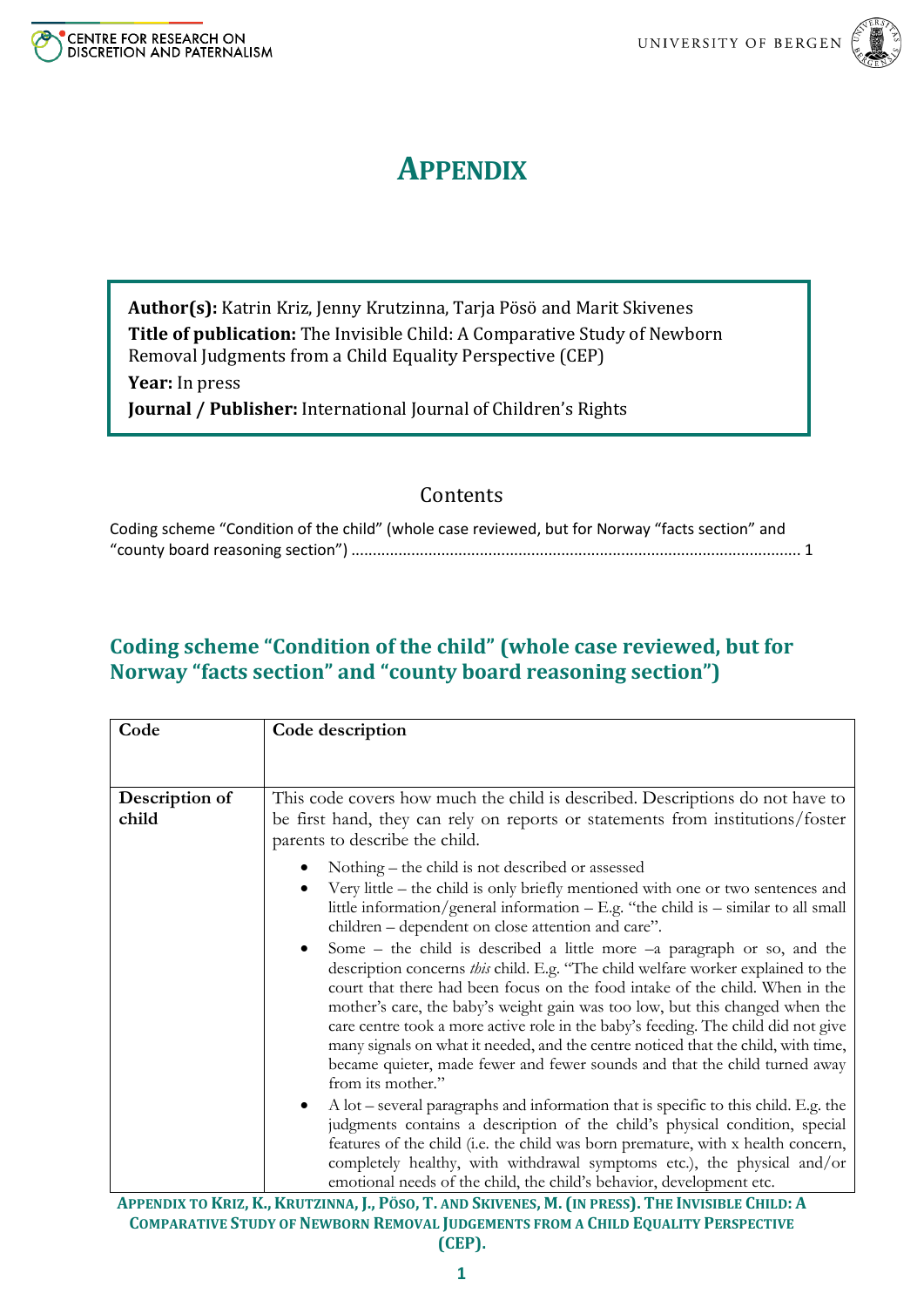



## **APPENDIX**

**Author(s):** Katrin Kriz, Jenny Krutzinna, Tarja Pösö and Marit Skivenes **Title of publication:** The Invisible Child: A Comparative Study of Newborn Removal Judgments from a Child Equality Perspective (CEP)

**Year:** In press

**Journal / Publisher:** International Journal of Children's Rights

## Contents

| Coding scheme "Condition of the child" (whole case reviewed, but for Norway "facts section" and |  |
|-------------------------------------------------------------------------------------------------|--|
|                                                                                                 |  |

## <span id="page-0-0"></span>**Coding scheme "Condition of the child" (whole case reviewed, but for Norway "facts section" and "county board reasoning section")**

| Code           | Code description                                                                                                                                                                                                                                                                                                                                                                                                                                                                                                                                                                                                        |
|----------------|-------------------------------------------------------------------------------------------------------------------------------------------------------------------------------------------------------------------------------------------------------------------------------------------------------------------------------------------------------------------------------------------------------------------------------------------------------------------------------------------------------------------------------------------------------------------------------------------------------------------------|
|                |                                                                                                                                                                                                                                                                                                                                                                                                                                                                                                                                                                                                                         |
| Description of | This code covers how much the child is described. Descriptions do not have to                                                                                                                                                                                                                                                                                                                                                                                                                                                                                                                                           |
| child          | be first hand, they can rely on reports or statements from institutions/foster<br>parents to describe the child.                                                                                                                                                                                                                                                                                                                                                                                                                                                                                                        |
|                | Nothing – the child is not described or assessed                                                                                                                                                                                                                                                                                                                                                                                                                                                                                                                                                                        |
|                | Very little – the child is only briefly mentioned with one or two sentences and<br>little information/general information $-$ E.g. "the child is $-$ similar to all small<br>children - dependent on close attention and care".                                                                                                                                                                                                                                                                                                                                                                                         |
|                | Some – the child is described a little more $-a$ paragraph or so, and the<br>$\bullet$<br>description concerns this child. E.g. "The child welfare worker explained to the<br>court that there had been focus on the food intake of the child. When in the<br>mother's care, the baby's weight gain was too low, but this changed when the<br>care centre took a more active role in the baby's feeding. The child did not give<br>many signals on what it needed, and the centre noticed that the child, with time,<br>became quieter, made fewer and fewer sounds and that the child turned away<br>from its mother." |
|                | A lot – several paragraphs and information that is specific to this child. E.g. the<br>judgments contains a description of the child's physical condition, special<br>features of the child (i.e. the child was born premature, with x health concern,<br>completely healthy, with withdrawal symptoms etc.), the physical and/or<br>emotional needs of the child, the child's behavior, development etc.                                                                                                                                                                                                               |

APPENDIX TO KRIZ, K., KRUTZINNA, J., PÖSO, T. AND SKIVENES, M. (IN PRESS). THE INVISIBLE CHILD: A **COMPARATIVE STUDY OF NEWBORN REMOVAL JUDGEMENTS FROM A CHILD EQUALITY PERSPECTIVE (CEP).**